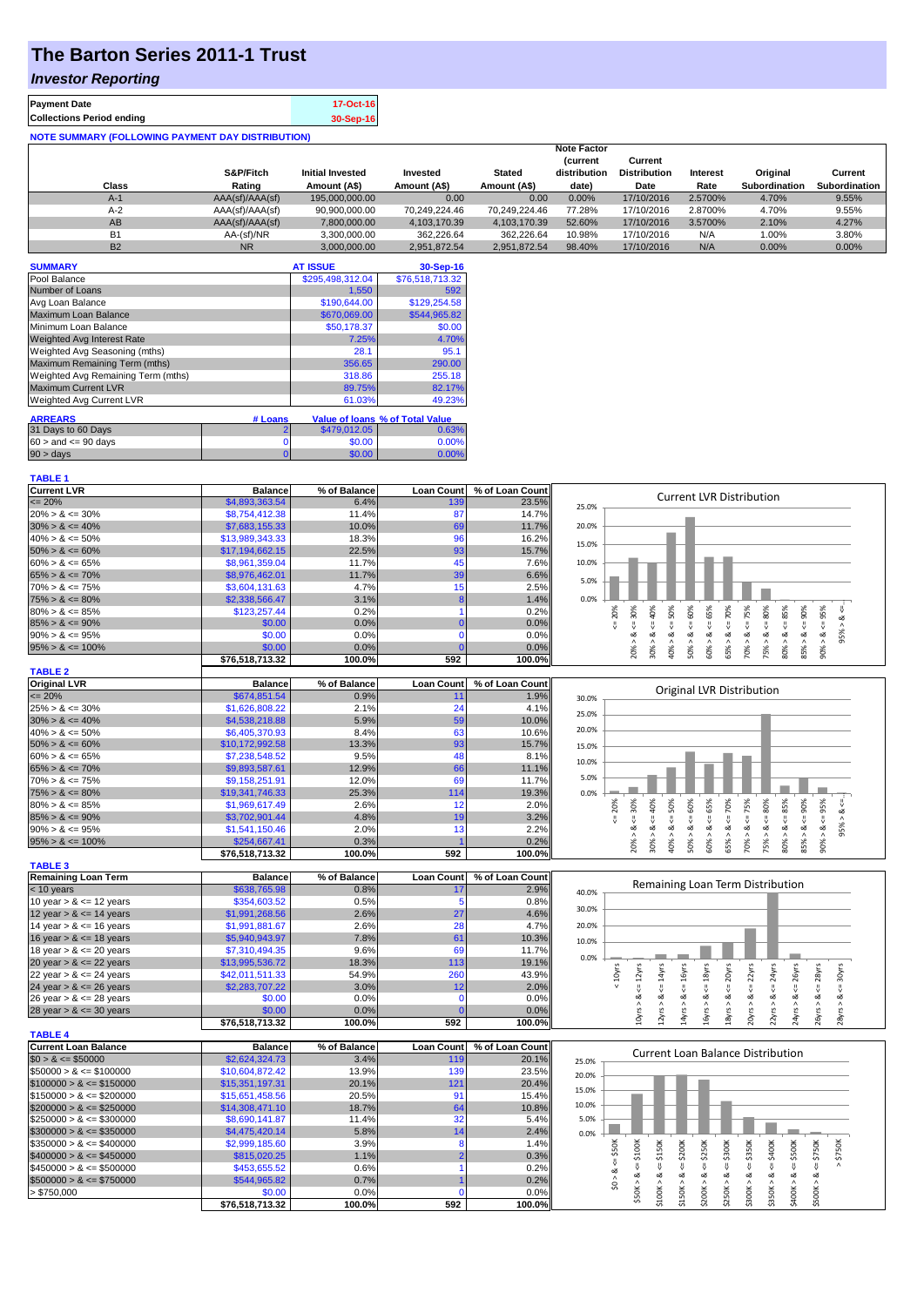## **The Barton Series 2011-1 Trust**

## *Investor Reporting*

| <b>Payment Date</b>                                      | 17-Oct-16 |  |  |  |  |  |  |  |
|----------------------------------------------------------|-----------|--|--|--|--|--|--|--|
| <b>Collections Period ending</b>                         | 30-Sep-16 |  |  |  |  |  |  |  |
| <b>NOTE SUMMARY (FOLLOWING PAYMENT DAY DISTRIBUTION)</b> |           |  |  |  |  |  |  |  |

|           |                 |                         |               |               | <b>Note Factor</b>             |                                |          |                      |                      |
|-----------|-----------------|-------------------------|---------------|---------------|--------------------------------|--------------------------------|----------|----------------------|----------------------|
|           | S&P/Fitch       | <b>Initial Invested</b> | Invested      | <b>Stated</b> | <b>Current</b><br>distribution | Current<br><b>Distribution</b> | Interest | Original             | Current              |
| Class     | Rating          | Amount (A\$)            | Amount (A\$)  | Amount (A\$)  | date)                          | Date                           | Rate     | <b>Subordination</b> | <b>Subordination</b> |
| A-1       | AAA(sf)/AAA(sf) | 195,000,000,00          | 0.00          | 0.00          | 0.00%                          | 17/10/2016                     | 2.5700%  | 4.70%                | 9.55%                |
| $A-2$     | AAA(sf)/AAA(sf) | 90.900.000.00           | 70.249.224.46 | 70.249.224.46 | 77.28%                         | 17/10/2016                     | 2.8700%  | 4.70%                | 9.55%                |
| AB        | AAA(sf)/AAA(sf) | 7.800.000.00            | 4.103.170.39  | 4.103.170.39  | 52.60%                         | 17/10/2016                     | 3.5700%  | 2.10%                | 4.27%                |
| <b>B1</b> | AA-(sf)/NR      | 3.300.000.00            | 362.226.64    | 362.226.64    | 10.98%                         | 17/10/2016                     | N/A      | 1.00%                | 3.80%                |
| <b>B2</b> | <b>NR</b>       | 3.000.000.00            | 2.951.872.54  | 2.951.872.54  | 98.40%                         | 17/10/2016                     | N/A      | 0.00%                | 0.00%                |

| <b>SUMMARY</b>                     |                | <b>AT ISSUE</b>  | 30-Sep-16                       |
|------------------------------------|----------------|------------------|---------------------------------|
| Pool Balance                       |                | \$295,498,312.04 | \$76,518,713.32                 |
| Number of Loans                    |                | 1.550            | 592                             |
| Avg Loan Balance                   |                | \$190,644.00     | \$129,254.58                    |
| Maximum Loan Balance               |                | \$670,069.00     | \$544,965.82                    |
| Minimum Loan Balance               |                | \$50,178.37      | \$0.00                          |
| <b>Weighted Avg Interest Rate</b>  |                | 7.25%            | 4.70%                           |
| Weighted Avg Seasoning (mths)      |                | 28.1             | 95.1                            |
| Maximum Remaining Term (mths)      |                | 356.65           | 290.00                          |
| Weighted Avg Remaining Term (mths) |                | 318.86           | 255.18                          |
| <b>Maximum Current LVR</b>         |                | 89.75%           | 82.17%                          |
| Weighted Avg Current LVR           |                | 61.03%           | 49.23%                          |
| <b>ARREARS</b>                     | # Loans        |                  | Value of Ioans % of Total Value |
| 31 Days to 60 Days                 | 2              | \$479,012.05     | 0.63%                           |
| $60 >$ and $\leq 90$ days          | 0              | \$0.00           | 0.00%                           |
| $90 > \text{days}$                 | $\overline{0}$ | \$0.00           | 0.00%                           |

| <b>Current LVR</b>   | <b>Balance</b>  | % of Balance | <b>Loan Count</b> | % of Loan Count |       |     |     |   |     |                                 |   |   |    |    |                |  |
|----------------------|-----------------|--------------|-------------------|-----------------|-------|-----|-----|---|-----|---------------------------------|---|---|----|----|----------------|--|
| $\leq$ 20%           | \$4,893,363.54  | 6.4%         | 139               | 23.5%           | 25.0% |     |     |   |     | <b>Current LVR Distribution</b> |   |   |    |    |                |  |
| $20\% > 8 \le 30\%$  | \$8,754,412,38  | 11.4%        | 87                | 14.7%           |       |     |     |   |     |                                 |   |   |    |    |                |  |
| $30\% > 8 \le 40\%$  | \$7,683,155.33  | 10.0%        | 69                | 11.7%           | 20.0% |     |     |   |     |                                 |   |   |    |    |                |  |
| $40\% > 8 \le 50\%$  | \$13,989,343.33 | 18.3%        | 96                | 16.2%           | 15.0% |     |     |   |     |                                 |   |   |    |    |                |  |
| $50\% > 8 \le 60\%$  | \$17,194,662.15 | 22.5%        | 93                | 15.7%           |       |     |     |   |     |                                 |   |   |    |    |                |  |
| $60\% > 8 \le 65\%$  | \$8.961.359.04  | 11.7%        |                   | 7.6%            | 10.0% |     |     |   |     |                                 |   |   |    |    |                |  |
| $65\% > 8 \le 70\%$  | \$8,976,462.01  | 11.7%        | 39                | 6.6%            | 5.0%  |     |     |   |     |                                 |   |   |    |    |                |  |
| $70\% > 8 \le 75\%$  | \$3.604.131.63  | 4.7%         |                   | 2.5%            |       |     |     |   |     |                                 |   |   |    |    |                |  |
| $75\% > 8 \le 80\%$  | \$2,338,566.47  | 3.1%         |                   | 1.4%            | 0.0%  |     |     |   |     |                                 |   |   |    |    |                |  |
| $80\% > 8 \le 85\%$  | \$123,257.44    | 0.2%         |                   | 0.2%            |       | 20% |     |   | 55% | P <sub>8</sub>                  |   | ĝ | 5% | šõ | $\frac{5}{26}$ |  |
| $85\% > 8 \le 90\%$  | \$0.00          | 0.0%         |                   | 0.0%            |       |     |     |   |     |                                 |   |   |    |    |                |  |
| $90\% > 8 \le 95\%$  | \$0.00          | 0.0%         |                   | 0.0%            |       |     |     |   |     |                                 |   |   |    |    |                |  |
| $95\% > 8 \le 100\%$ | \$0.00          | 0.0%         |                   | 0.0%            |       |     | 20% | ∘ | ŝ   | SS <sub>X</sub>                 | 0 |   |    | ŝ5 |                |  |
|                      | \$76.518.713.32 | 100.0%       | 592               | 100.0%          |       |     | 50  |   |     |                                 |   |   | ଛ  |    |                |  |

85% > & <= 90% 90% > & <= 95%  $95\% > 8$  <=...

 $yrs > 8 \le 26yrs$  $\frac{1}{2}$   $\frac{1}{2}$   $\frac{1}{2}$   $\frac{1}{2}$   $\frac{1}{2}$   $\frac{1}{2}$   $\frac{1}{2}$   $\frac{1}{2}$   $\frac{1}{2}$   $\frac{1}{2}$   $\frac{1}{2}$   $\frac{1}{2}$   $\frac{1}{2}$   $\frac{1}{2}$   $\frac{1}{2}$   $\frac{1}{2}$   $\frac{1}{2}$   $\frac{1}{2}$   $\frac{1}{2}$   $\frac{1}{2}$   $\frac{1}{2}$   $\frac{1}{2}$   $8yrs > 8 \le 30yrs$ 

J.

 $20yrs > 8s \le 22yrs$  $22yrs > 8 <= 24yrs$  $24yrs > 8s \leq 26yrs$ 26yrs > & <= 28yrs 28yrs > & <= 30yrs

| <b>TABLE 2</b>       |                 |              |                   |                 |       |            |     |     |      |     |                                  |     |     |     |
|----------------------|-----------------|--------------|-------------------|-----------------|-------|------------|-----|-----|------|-----|----------------------------------|-----|-----|-----|
| <b>Original LVR</b>  | <b>Balance</b>  | % of Balance | <b>Loan Count</b> | % of Loan Count |       |            |     |     |      |     |                                  |     |     |     |
| $\leq$ 20%           | \$674,851.54    | 0.9%         | 11                | 1.9%            | 30.0% |            |     |     |      |     | <b>Original LVR Distribution</b> |     |     |     |
| $25\% > 8 \le 30\%$  | \$1,626,808.22  | 2.1%         | 24                | 4.1%            | 25.0% |            |     |     |      |     |                                  |     |     |     |
| $30\% > 8 \le 40\%$  | \$4,538,218.88  | 5.9%         | 59                | 10.0%           |       |            |     |     |      |     |                                  |     |     |     |
| $40\% > 8 \le 50\%$  | \$6,405,370.93  | 8.4%         | 63                | 10.6%           | 20.0% |            |     |     |      |     |                                  |     |     |     |
| $50\% > 8 \le 60\%$  | \$10.172.992.58 | 13.3%        | 93                | 15.7%           | 15.0% |            |     |     |      |     |                                  |     |     |     |
| $60\% > 8 \le 65\%$  | \$7,238,548.52  | 9.5%         | 48                | 8.1%            | 10.0% |            |     |     |      |     |                                  |     |     |     |
| $65\% > 8 \le 70\%$  | \$9,893,587.61  | 12.9%        | 66                | 11.1%           |       |            |     |     |      |     |                                  |     |     |     |
| $70\% > 8 \le 75\%$  | \$9,158,251.91  | 12.0%        | 69                | 11.7%           | 5.0%  |            |     |     |      |     |                                  |     |     |     |
| $75\% > 8 \le 80\%$  | \$19,341,746.33 | 25.3%        | 114               | 19.3%           | 0.0%  |            |     |     |      |     |                                  |     |     |     |
| $80\% > 8 \le 85\%$  | \$1,969,617.49  | 2.6%         | 12                | 2.0%            |       | 20%<br>30% | 40% | 50% | င္တိ | 65% | 70%                              | 5%  | 80% | 85% |
| $85\% > 8 \le 90\%$  | \$3,702,901.44  | 4.8%         | 19                | 3.2%            |       |            |     |     |      |     |                                  |     |     |     |
| $90\% > 8 \le 95\%$  | \$1,541,150.46  | 2.0%         | 13                | 2.2%            |       | ∝          | ∞   | ∞   | ∞    | ∝   | ∞                                |     |     | ವ   |
| $95\% > 8 \le 100\%$ | \$254,667.41    | 0.3%         |                   | 0.2%            |       | 209        | 30% | 40% | ន្តិ | Š   | 55                               | 70% | 75% | 80% |
|                      | \$76.518.713.32 | 100.0%       | 592               | 100.0%          |       |            |     |     |      |     |                                  |     |     |     |

| <b>TABLE 3</b>             |                 |              |                   |                 |       |   |   |               |   |                                  |  |
|----------------------------|-----------------|--------------|-------------------|-----------------|-------|---|---|---------------|---|----------------------------------|--|
| Remaining Loan Term        | <b>Balance</b>  | % of Balance | <b>Loan Count</b> | % of Loan Count |       |   |   |               |   |                                  |  |
| $<$ 10 years               | \$638,765.98    | 0.8%         |                   | 2.9%            | 40.0% |   |   |               |   | Remaining Loan Term Distribution |  |
| 10 year $> 8 \le 12$ years | \$354,603.52    | 0.5%         |                   | 0.8%            |       |   |   |               |   |                                  |  |
| 12 year $> 8 \le 14$ years | \$1,991,268.56  | 2.6%         | 27                | 4.6%            | 30.0% |   |   |               |   |                                  |  |
| 14 year $> 8 \le 16$ years | \$1.991.881.67  | 2.6%         | 28                | 4.7%            | 20.0% |   |   |               |   |                                  |  |
| 16 year $> 8 \le 18$ years | \$5,940,943,97  | 7.8%         | 61                | 10.3%           | 10.0% |   |   |               |   |                                  |  |
| 18 year $> 8 \le 20$ years | \$7,310,494.35  | 9.6%         | 69                | 11.7%           |       |   |   |               |   |                                  |  |
| 20 year $> 8 \le 22$ years | \$13,995,536.72 | 18.3%        | 113               | 19.1%           | 0.0%  |   |   |               |   |                                  |  |
| 22 year $> 8 \le 24$ years | \$42,011,511.33 | 54.9%        | 260               | 43.9%           |       | న | డ | $\frac{5}{8}$ | ξ |                                  |  |
| 24 year $> 8 \le 26$ years | \$2,283,707.22  | 3.0%         | 12                | 2.0%            |       |   |   |               |   |                                  |  |
| 26 year $> 8 \le 28$ years | \$0.00          | $0.0\%$      |                   | $0.0\%$         |       |   |   |               |   |                                  |  |
| 28 year $> 8 \le 30$ years | \$0.00          | 0.0%         |                   | 0.0%            |       |   |   |               |   |                                  |  |
|                            | \$76.518.713.32 | 100.0%       | 592               | 100.0%l         |       |   |   |               |   |                                  |  |

| <b>TABLE 4</b>               |                 |              |                   |                 |       |  |  |        |                  |        |                                   |     |     |  |
|------------------------------|-----------------|--------------|-------------------|-----------------|-------|--|--|--------|------------------|--------|-----------------------------------|-----|-----|--|
| <b>Current Loan Balance</b>  | <b>Balance</b>  | % of Balance | <b>Loan Count</b> | % of Loan Count |       |  |  |        |                  |        | Current Loan Balance Distribution |     |     |  |
| $$0 > 8 \leq $50000$         | \$2,624,324,73  | 3.4%         | 119               | 20.1%           | 25.0% |  |  |        |                  |        |                                   |     |     |  |
| $$50000 > 8 \leq $100000$    | \$10,604,872.42 | 13.9%        | 139               | 23.5%           | 20.0% |  |  |        |                  |        |                                   |     |     |  |
| $$100000 > 8 \leq $150000$   | \$15,351,197.31 | 20.1%        | 121               | 20.4%           |       |  |  |        |                  |        |                                   |     |     |  |
| $\$150000 > 8 \leq \$200000$ | \$15,651,458.56 | 20.5%        | 91                | 15.4%           | 15.0% |  |  |        |                  |        |                                   |     |     |  |
| $$200000 > 8 \leq $250000$   | \$14,308,471.10 | 18.7%        | 64                | 10.8%           | 10.0% |  |  |        |                  |        |                                   |     |     |  |
| $\$250000 > 8 \leq \$300000$ | \$8,690,141.87  | 11.4%        | 32                | 5.4%            | 5.0%  |  |  |        |                  |        |                                   |     |     |  |
| $$300000 > 8 \leq $350000$   | \$4,475,420.14  | 5.8%         | 4                 | 2.4%            | 0.0%  |  |  |        |                  |        |                                   |     |     |  |
| $\$350000 > 8 \leq \$400000$ | \$2,999,185.60  | 3.9%         |                   | 1.4%            |       |  |  |        | $\frac{300K}{2}$ | Š      | 8                                 | DOK | 50K |  |
| $$400000 > 8 \leq $450000$   | \$815,020.25    | 1.1%         |                   | 0.3%            |       |  |  | \$250K |                  | $\sim$ |                                   |     | 55  |  |
| $\$450000 > 8 \leq \$500000$ | \$453,655.52    | 0.6%         |                   | 0.2%            |       |  |  |        |                  |        |                                   |     |     |  |
| $$500000 > 8 \leq $750000$   | \$544,965.82    | 0.7%         |                   | 0.2%            |       |  |  |        |                  |        |                                   |     |     |  |
| > \$750,000                  | \$0.00          | 0.0%         |                   | $0.0\%$         |       |  |  |        |                  |        |                                   |     |     |  |
|                              | \$76.518.713.32 | 100.0%       | 592               | $100.0\%$       |       |  |  |        | $\sim$           | $\sim$ |                                   |     |     |  |